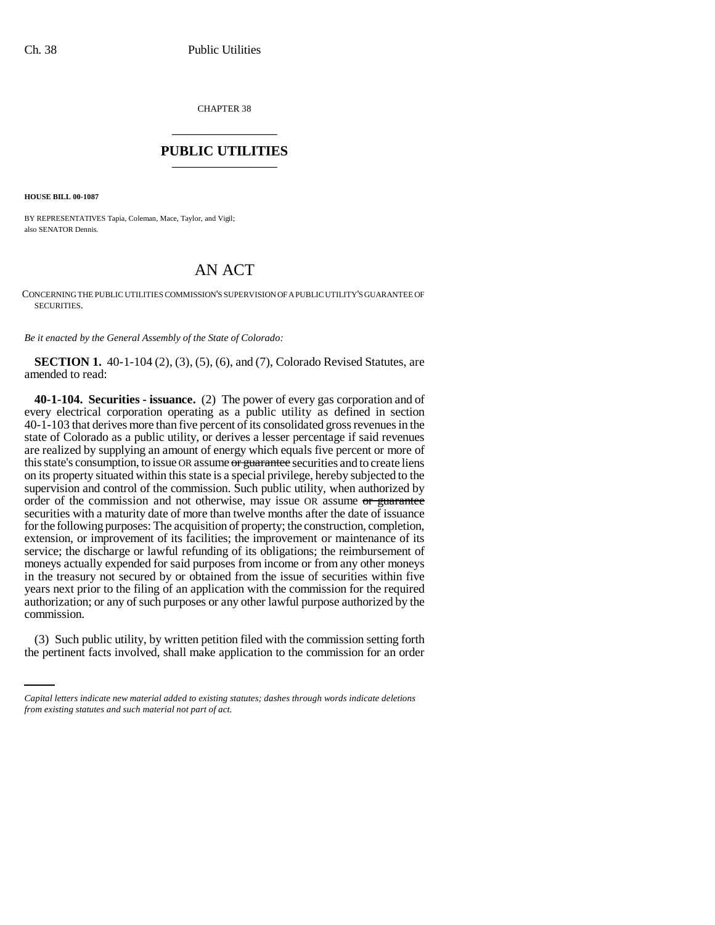CHAPTER 38 \_\_\_\_\_\_\_\_\_\_\_\_\_\_\_

## **PUBLIC UTILITIES** \_\_\_\_\_\_\_\_\_\_\_\_\_\_\_

**HOUSE BILL 00-1087** 

BY REPRESENTATIVES Tapia, Coleman, Mace, Taylor, and Vigil; also SENATOR Dennis.

## AN ACT

CONCERNING THE PUBLIC UTILITIES COMMISSION'S SUPERVISION OF A PUBLIC UTILITY'S GUARANTEE OF SECURITIES.

*Be it enacted by the General Assembly of the State of Colorado:*

**SECTION 1.** 40-1-104 (2), (3), (5), (6), and (7), Colorado Revised Statutes, are amended to read:

**40-1-104. Securities - issuance.** (2) The power of every gas corporation and of every electrical corporation operating as a public utility as defined in section 40-1-103 that derives more than five percent of its consolidated gross revenues in the state of Colorado as a public utility, or derives a lesser percentage if said revenues are realized by supplying an amount of energy which equals five percent or more of this state's consumption, to issue OR assume or guarantee securities and to create liens on its property situated within this state is a special privilege, hereby subjected to the supervision and control of the commission. Such public utility, when authorized by order of the commission and not otherwise, may issue OR assume or guarantee securities with a maturity date of more than twelve months after the date of issuance for the following purposes: The acquisition of property; the construction, completion, extension, or improvement of its facilities; the improvement or maintenance of its service; the discharge or lawful refunding of its obligations; the reimbursement of moneys actually expended for said purposes from income or from any other moneys in the treasury not secured by or obtained from the issue of securities within five years next prior to the filing of an application with the commission for the required authorization; or any of such purposes or any other lawful purpose authorized by the commission.

(3) Such public utility, by written petition filed with the commission setting forth the pertinent facts involved, shall make application to the commission for an order

*Capital letters indicate new material added to existing statutes; dashes through words indicate deletions from existing statutes and such material not part of act.*